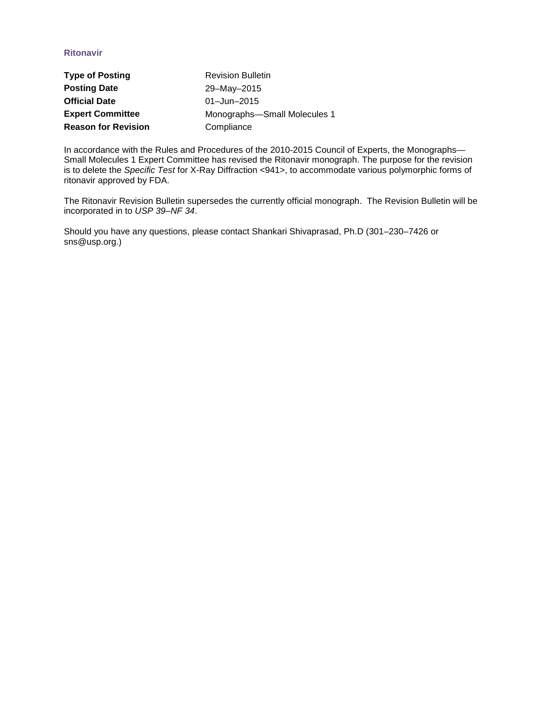## **Ritonavir**

| <b>Type of Posting</b>     | <b>Revision Bulletin</b>     |
|----------------------------|------------------------------|
| <b>Posting Date</b>        | 29-May-2015                  |
| <b>Official Date</b>       | 01 $-$ Jun $-$ 2015          |
| <b>Expert Committee</b>    | Monographs-Small Molecules 1 |
| <b>Reason for Revision</b> | Compliance                   |

In accordance with the Rules and Procedures of the 2010-2015 Council of Experts, the Monographs— Small Molecules 1 Expert Committee has revised the Ritonavir monograph. The purpose for the revision is to delete the *Specific Test* for X-Ray Diffraction <941>, to accommodate various polymorphic forms of ritonavir approved by FDA.

The Ritonavir Revision Bulletin supersedes the currently official monograph. The Revision Bulletin will be incorporated in to *USP 39–NF 34*.

Should you have any questions, please contact Shankari Shivaprasad, Ph.D (301–230–7426 or sns@usp.org.)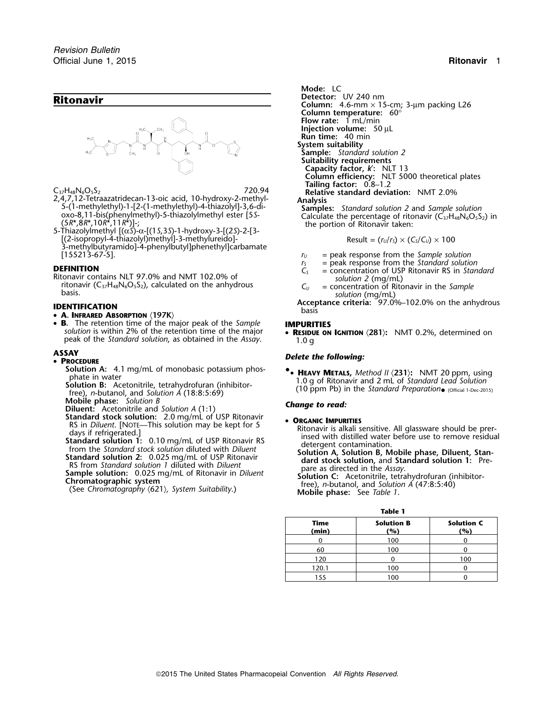

- 2,4,7,12-1etraazatridecan-13-oic acid, 10-hydroxy-2-methyl-<br>
5-(1-methylethyl)-1-[2-(1-methylethyl)-4-thiazolyl]-3,6-di-<br>
oxo-8,11-bis(phenylmethyl)-5-thiazolylmethyl ester [5S-<br>
(5R\*,8R\*,10R\*,11R\*)]-;<br>
5-Thiazolylmethyl
- [(2-isopropyl-4-thiazolyl)methyl]-3-methylureido]- Result = (*<sup>r</sup>U*/*<sup>r</sup>S*) × (*CS*/*CU*) ×<sup>100</sup> 3-methylbutyramido]-4-phenylbutyl]phenethyl]carbamate [155213-67-5]. *<sup>r</sup><sup>U</sup>* = peak response from the *Sample solution*

**DEFINITION**<br>
Ritonavir contains NLT 97.0% and NMT 102.0% of *solution 2* (mg/mL)<br>
ritonavir (C<sub>37</sub>H<sub>48</sub>N<sub>6</sub>O<sub>5</sub>S<sub>2</sub>), calculated on the anhydrous *C<sub>U</sub>* = concentration of Ritonavir in the *Sample*<br>
basis. *Solution* (mg

### • **A. INFRARED ABSORPTION** 〈**197K**〉

- •**B.** The retention time of the major peak of the *Sample* **IMPURITIES**<br>*solution* is within 2% of the retention time of the major **RESIDUE ON** peak of the *Standard solution*, as obtained in the *Assay*. 1.0 <sup>g</sup>
	-

- **PROCEDURE**
	-
	- (Official 1-Dec-2015) free), *n*-butanol, and *Solution A* (18:8:5:69)

**Mobile phase:** *Solution B Change to read:* **Diluent:** Acetonitrile and *Solution A* (1:1)

- **Standard stock solution:** 2.0 mg/mL of USP Ritonavir  **ORGANIC IMPURITIES**<br>Ritonavir is alkali statement. [NOTE—This solution may be kept for 5
- 

**Mode:** LC **Ritonavir Detector:** UV 240 nm<br>**Ritonavir Column:** 4.6-mm × 15-cm; 3-µm packing L26 **Column temperature:** 60° **Flow rate:** 1 mL/min **Injection volume:** 50 µL **Run time:** 40 min **System suitability Sample:** *Standard solution 2* **Suitability requirements Capacity factor,** *k*′**:** NLT 13 **Column efficiency:** NLT 5000 theoretical plates **Tailing factor:** 0.8–1.2 C37H48N6O5S<sup>2</sup> 720.94 **Relative standard deviation:** NMT 2.0%

$$
Result = (r_U/r_S) \times (C_S/C_U) \times 100
$$

- 
- *<sup>r</sup><sup>S</sup>* = peak response from the *Standard solution* **DEFINITION** *<sup>C</sup><sup>S</sup>* = concentration of USP Ritonavir RS in *Standard*
	-
	-

**Acceptance criteria:** 97.0%–102.0% on the anhydrous **IDENTIFICATION**<br>
basis

**RESIDUE ON IGNITION**  $\langle 281 \rangle$ : NMT 0.2%, determined on

# **ASSAY** *Delete the following:* •

**Solution A:** 4.1 mg/mL of monobasic potassium phos-<br>phate in water **by the solution** and 2 ml of Standard Lard Solution Figure in water<br>Solution B: Acetonitrile, tetrahydrofuran (inhibitor-<br>(10 ppm Pb) in the Standard Preparation (official 1-Dec-2015)

School Standard Stution 2. 0.01 mg/mL of USP Ritonavir September 2.01 mg/mL of USP Ritonavir is alkell sensitive. All glassware should be pre-<br>
RS in Diluent. [NOTE—This solution may be kept for 5<br>
Standard solution 1: 0.1

| ъ | ı |  |
|---|---|--|

| IANIC I       |                          |                          |  |  |  |  |
|---------------|--------------------------|--------------------------|--|--|--|--|
| Time<br>(min) | <b>Solution B</b><br>(%) | <b>Solution C</b><br>(%) |  |  |  |  |
|               | 100                      |                          |  |  |  |  |
| 60            | 100                      |                          |  |  |  |  |
| 120           |                          | 100                      |  |  |  |  |
| 120.1         | 100                      |                          |  |  |  |  |
| 155           | 100                      |                          |  |  |  |  |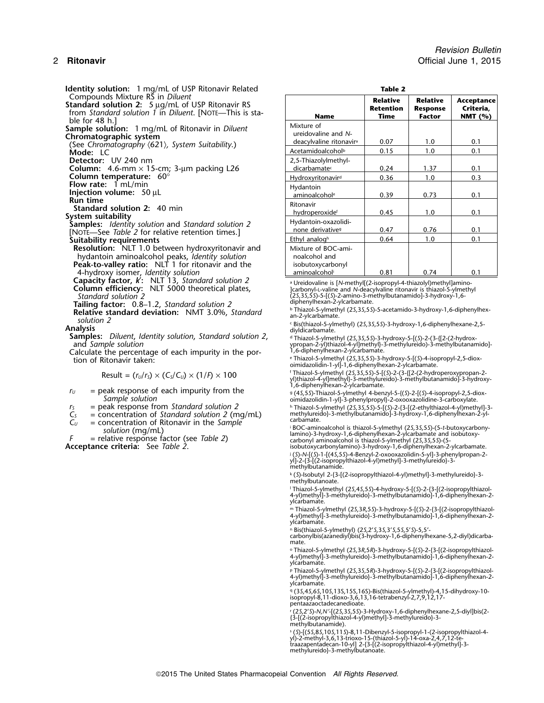**Identity solution:** 1 mg/mL of USP Ritonavir Related Compounds Mixture RS in *Diluent* Compounds Mixture RS in Diluent<br>
Standard solution 2: 5 µg/mL of USP Ritonavir RS<br>
from Standard solution 1 in Diluent. [NOTE—This is sta-<br>
ble for 48 h.]<br>
Sample solution: 1 mg/mL of Ritonavir in Diluent<br>
Chromatographic Detector: UV 240 nm **Column:** 4.6-mm  $\times$  15-cm; 3-µm packing L26 **Column temperature:** 60<sup>°</sup><br>**Flow rate:** 1 mL/min Injection volume:  $50 \mu L$ <br>
Run time<br>
Standard solution 2: 40 min<br>
System suitability<br>
Samples: *Identity solution* and *Standard solution 2*<br>
[NOTE—See *Table 2* for relative retention times.] **Suitability requirements Resolution:** NLT 1.0 between hydroxyritonavir and hydantoin aminoalcohol peaks, *Identity solution* **Peak-to-valley ratio:** NLT 1 for ritonavir and the aminoalcohol 4-hydroxy isomer, *Identity solution* <sup>i</sup> 0.81 0.74 0.1 Capacity factor, K: NLT 13, Standard solution 2<br>Column efficiency: NLT 5000 theoretical plates, entity of a Ureidovaline is [N-methyl[(2-isopropyl-4-thiazolyl)methyl]amino-Standard Solution 2 (38 a Ureidovaline is [N-methyl[(2-isopropyl-4-thiazolyl)methyl]amino-<br>**Standard solution 2** (25,35,555)-5-[(3)-valine and N-deacylvaline ritonavir is thiazol-5-ylmethyl<br>**Standard solution 2** (25,35,555 Tailing factor: 0.8–1.2, Standard solution 2<br>
Relative standard deviation: NMT 3.0%, Standard<br>
solution 2<br>
Sistiniazol-5-ylmethyl (25,35,55)-5-acetamido-3-hydroxy-1,6-diphenylhex-<br>
solution 2<br>
Samples: Diluent, Identity so Samples: Diluent, Identity solution, Standard solution 2, withiazol-5-ylmethyl (25,35,55)-3-hydroxy-5-[(5)-2-(3-{[2-(2-hydrox-<br>Ypropan-2-yl)thiazol-4-yl]methyl}-3-methylureido)-3-methylbutanamido]-xpropan-2-yl)thiazol-4-yl

Calculate the percentage of each impurity in the portion of Ritonavir taken:

*<sup>r</sup><sup>U</sup>* = peak response of each impurity from the <sup>g</sup> (4*S*,5*S*)-Thiazol-5-ylmethyl 4-benzyl-5-{(*S*)-2-[(*S*)-4-isopropyl-2,5-diox- *Sample solution* oimidazolidin-1-yl]-3-phenylpropyl}-2-oxooxazolidine-3-carboxylate.

- 
- 
- 

| Name                                                                       | <b>Relative</b><br><b>Retention</b><br>Time | <b>Relative</b><br><b>Response</b><br><b>Factor</b> | Acceptance<br>Criteria,<br><b>NMT</b> (%) |
|----------------------------------------------------------------------------|---------------------------------------------|-----------------------------------------------------|-------------------------------------------|
| Mixture of<br>ureidovaline and N-<br>deacylvaline ritonavir <sup>a</sup>   | 0.07                                        | 1.0                                                 | 0.1                                       |
| Acetamidoalcoholb                                                          | 0.15                                        | 1.0                                                 | 0.1                                       |
| 2,5-Thiazolylmethyl-<br>dicarbamated                                       | 0.24                                        | 1.37                                                | 0.1                                       |
| Hydroxyritonavird                                                          | 0.36                                        | 1.0                                                 | 0.3                                       |
| Hydantoin<br>aminoalcohole                                                 | 0.39                                        | 0.73                                                | 0.1                                       |
| Ritonavir<br>hydroperoxidef                                                | 0.45                                        | 1.0                                                 | 0.1                                       |
| Hydantoin-oxazolidi-<br>none derivatives                                   | 0.47                                        | 0.76                                                | 0.1                                       |
| Ethyl analogh                                                              | 0.64                                        | 1.0                                                 | 0.1                                       |
| Mixture of BOC-ami-<br>noalcohol and<br>isobutoxycarbonyl<br>aminoalcoholi | 0.81                                        | 0.74                                                | 0.1                                       |

e Thiazol-5-ylmethyl (2*S*, 3*S*,5*S*)-3-hydroxy-5-[(*S*)-4-isopropyl-2,5-diox-<br>oimidazolidin-1-yl]-1, 6-diphenylhexan-2-ylcarbamate.<br>f Thiazol-5-ylmethyl (2*S*, 3*S*,5*S*)-5-[(*S*)-2-(3-{[2-(2-hydroperoxypropan-2-

 $Result = (r_0/r_s) \times (C_s/C_u) \times (1/P) \times 100$ <br>1)thiazol-5-ylmethyl (25,35,55)-5-[(5)-2-(3-{[2-(2-hydroperoxypropan-2-<br>1)f-diphenylhexan-2-ylcarbamate.<br>1)f-diphenylhexan-2-ylcarbamate.

*r*<sub>S</sub> = peak response from *Standard solution 2* h Thiazol-5-ylmethyl (2*S*,3*S*,55)-5-[(5)-2-{3-[(2-ethylthiazol-4-yl)methyl]-3-<br>C<sub>S</sub> = concentration of *Standard solution 2* (mq/mL) methylureido}-3-methylbutanamido]-3-h

 $C_U$  = concentration of Ritonavir in the Sample<br>
solution (mg/mL)<br>
= relative response factor (see Table 2)<br>
Acceptance criteria: See Table 2)<br>  $\begin{aligned} F &= \text{relative response factor (see Table 2)} \\ &\begin{aligned} \text{factor}(\text{see Table 2}) \\ &\begin{aligned} \text{factor}(\text{see Table 2}) \\ &\begin{aligned} \text{inim}(\text{in$ 

**Acceptance criteria:** See *Table 2*. isobutoxycarbonylamino)-3-hydroxy-1,6-diphenylhexan-2-ylcarbamate. <sup>j</sup> (*S*)-*N*-[(*S*)-1-[(4*S*,5*S*)-4-Benzyl-2-oxooxazolidin-5-yl]-3-phenylpropan-2- yl]-2-{3-[(2-isopropylthiazol-4-yl)methyl]-3-methylureido}-3 methylbutanamide.

<sup>k</sup> (*S*)-Isobutyl 2-{3-[(2-isopropylthiazol-4-yl)methyl]-3-methylureido}-3 methylbutanoate.

<sup>l</sup> Thiazol-5-ylmethyl (2*S*,4*S*,5*S*)-4-hydroxy-5-[(*S*)-2-{3-[(2-isopropylthiazol-4-yl)methyl]-3-methylureido}-3-methylbutanamido]-1,6-diphenylhexan-2 ylcarbamate.

<sup>m</sup> Thiazol-5-ylmethyl (2*S*,3*R*,5*S*)-3-hydroxy-5-[(*S*)-2-{3-[(2-isopropylthiazol-4-yl)methyl]-3-methylureido}-3-methylbutanamido]-1,6-diphenylhexan-2 ylcarbamate.

<sup>n</sup> Bis(thiazol-5-ylmethyl) (2*S*,2'*S*,3*S*,3'*S*,5*S*,5'*S*)-5,5'-

carbonylbis(azanediyl)bis(3-hydroxy-1,6-diphenylhexane-5,2-diyl)dicarbamate.

<sup>o</sup> Thiazol-5-ylmethyl (2*S*,3*R*,5*R*)-3-hydroxy-5-[(*S*)-2-{3-[(2-isopropylthiazol-4-yl)methyl]-3-methylureido}-3-methylbutanamido]-1,6-diphenylhexan-2 ylcarbamate.

<sup>p</sup> Thiazol-5-ylmethyl (2*S*,3*S*,5*R*)-3-hydroxy-5-[(*S*)-2-{3-[(2-isopropylthiazol-4-yl)methyl]-3-methylureido}-3-methylbutanamido]-1,6-diphenylhexan-2- ylcarbamate.

<sup>q</sup> (3*S*,4*S*,6*S*,10*S*,13S,15S,16S)-Bis(thiazol-5-ylmethyl)-4,15-dihydroxy-10- isopropyl-8,11-dioxo-3,6,13,16-tetrabenzyl-2,7,9,12,17 pentaazaoctadecanedioate.

<sup>r</sup> (2*S*,2'*S*)-*N,N'*-[(2*S*,3*S*,5*S*)-3-Hydroxy-1,6-diphenylhexane-2,5-diyl]bis(2- {3-[(2-isopropylthiazol-4-yl)methyl]-3-methylureido}-3-

methylbutanamide).

› (S)-[(SS,8S,10S,11S)-8,11-Dibenzyl-5-isopropyl-1-(2-isopropylthiazol-4-<br>yl)-2-methyl-3,6,13-trioxo-15-(thiazol-5-yl)-14-oxa-2,4,7,12-te-<br>traazapentadecan-10-yl] 2-{3-[(2-isopropylthiazol-4-yl)methyl]-3methylureido}-3-methylbutanoate.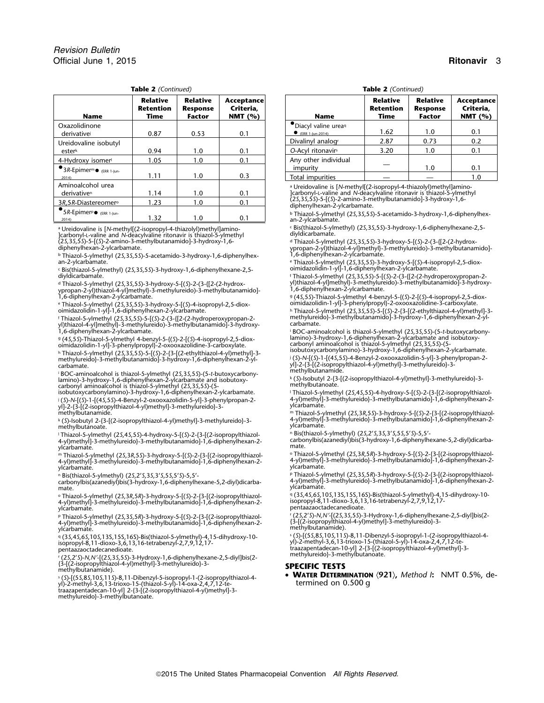| <b>Table 2</b> (Continued) |
|----------------------------|
|                            |

| <b>Name</b>                                                                | <b>Relative</b><br><b>Retention</b><br>Time | <b>Relative</b><br><b>Response</b><br><b>Factor</b> | Acceptance<br>Criteria.<br>NMT $(% )$ | <b>Name</b>                                                                                                                                            | Relative<br>Retention<br>Time | <b>Relative</b><br><b>Response</b><br><b>Factor</b> | Accept<br>Criter<br>NMT <sup>(</sup> |
|----------------------------------------------------------------------------|---------------------------------------------|-----------------------------------------------------|---------------------------------------|--------------------------------------------------------------------------------------------------------------------------------------------------------|-------------------------------|-----------------------------------------------------|--------------------------------------|
| Oxazolidinone<br>derivative                                                | 0.87                                        | 0.53                                                | 0.1                                   | · Diacyl valine urea<br>$\bullet$ (ERR 1-lun-2014)                                                                                                     | 1.62                          | 1.0                                                 | 0.1                                  |
| Ureidovaline isobutyl                                                      |                                             |                                                     |                                       | Divalinyl analogr                                                                                                                                      | 2.87                          | 0.73                                                | 0.2                                  |
| esterk                                                                     | 0.94                                        | 1.0                                                 | 0.1                                   | O-Acyl ritonavirs                                                                                                                                      | 3.20                          | 1.0                                                 | 0.1                                  |
| 4-Hydroxy isomer<br>$\bullet$ 3R-Epimer <sup>m</sup> $\bullet$ (ERR 1-Jun- | 1.05                                        | 1.0                                                 | 0.1                                   | Any other individual<br>impurity                                                                                                                       |                               | 1.0                                                 | 0.1                                  |
| 2014                                                                       | 1.11                                        | 1.0                                                 | 0.3                                   | Total impurities                                                                                                                                       |                               |                                                     | 1.0                                  |
| Aminoalcohol urea<br>derivative <sup>n</sup>                               | 1.14                                        | 1.0                                                 | 0.1                                   | <sup>a</sup> Ureidovaline is [N-methyl[(2-isopropyl-4-thiazolyl)methyl]amino-<br>]carbonyl-L-valine and N-deacylvaline ritonavir is thiazol-5-ylmethyl |                               |                                                     |                                      |
| 3R,5R-Diastereomer <sup>o</sup>                                            | 1.23                                        | 1.0                                                 | 0.1                                   | (25,35,55)-5-[(5)-2-amino-3-methylbutanamido]-3-hydroxy-1,6-<br>diphenylhexan-2-ylcarbamate.                                                           |                               |                                                     |                                      |
| $\bullet$ 5R-Epimer <sup>p</sup> $\bullet$ (ERR 1-Jun-                     | 1. 22                                       | 1 <sub>0</sub>                                      | $^{\circ}$ 1                          | <sup>b</sup> Thiazol-5-ylmethyl (2S, 3S, 5S)-5-acetamido-3-hydroxy-1, 6-diphenyll                                                                      |                               |                                                     |                                      |

a Ureidovaline is [N-methyl](2-isopropyl-4-thiazolyl)methyl]amino-<br>]carbonyl-L-valine and N-deacylvaline ritonavir is thiazol-5-ylmethyl<br>(25,35,55)-5-[(5)-2-amino-3-methylbutanamido]-3-hydroxy-1,6-<br>diphenylhexan-2-ylcarbam

<sup>b</sup> Thiazol-5-ylmethyl (2*S*,3*S*,5*S*)-5-acetamido-3-hydroxy-1,6-diphenylhex-<br>an-2-ylcarbamate.

c Bis(thiazol-5-ylmethyl) (25,35,55)-3-hydroxy-1,6-diphenylhexane-2,5-<br>diyldicarbamate.

<sup>d</sup> Thiazol-5-ylmethyl (25, 35, 55)-3-hydroxy-5-[(S)-2-(3-{[2-(2-hydrox-<br>ypropan-2-yl)thiazol-4-yl]methyl}-3-methylureido)-3-methylbutanamido]-<br>1,6-diphenylhexan-2-ylcarbamate.

e Thiazol-5-ylmethyl (25,35,55)-3-hydroxy-5-[(5)-4-isopropyl-2,5-diox-<br>oimidazolidin-1-yl]-1,6-diphenylhexan-2-ylcarbamate.

f Thiazol-5-ylmethyl (25,35,5S)-5-[(S)-2-(3-{[2-(2-hydroperoxypropan-2- methylureido}-3-methylbutanamido]-3-hydroxy-1,6-diphenylhexan-2-yl-<br>yl)thiazol-4-yl]methyl}-3-methylureido)-3-methylbutanamido]-3-hydroxy- ca

g (4S,5S)-Thiazol-5-ylmethyl 4-benzyl-5-{(S)-2-[(S)-4-isopropyl-2,5-diox- lamino)-3-hydroxy-1,6-diphenylhexan-2-ylcarbamate and isobutoxy-<br>oimidazolidin-1-yl]-3-phenylpropyl}-2-oxooxazolidine-3-carboxylate. carbon

i BOC-aminoalcohol is thiazol-5-ylmethyl (25,35,55)-(5-t-butoxycarbony- methylbutanamide.<br>lamino)-3-hydroxy-1,6-diphenylhexan-2-ylcarbamate and isobutoxy- k (S)-Isobutyl 2-{3-[(2-isopropylthiazol-4-yl)methyl]-3-me

 $y$ l)-2-{3-[(2-isopropylthiazol-4-yl)methyl]-3-methylureido}-3-<br>yl]-2-{3-[(2-isopropylthiazol-4-yl)methyl]-3-methylureido}-3-<br>methylbutanamide.

k (S)-Isobutyl 2-{3-[(2-isopropylthiazol-4-yl)methyl]-3-methyloreingly-3-methylureido}-3-methylbutanamido]-1,6-diphenylhexan-2-<br>methylbutanoate.<br>"Thiazol-5-ylmethyl) (25,25,55)-3-hydroxy-5-[(S)-2-{3-[(2-isopropylthiazol- " ι Thiazol-5-ylmethyl (2S,4S,5S)-4-hydroxy-5-[(S)-2-{3-[(2-isopropy|thiazol- Bis(thiazol-5-ylmethyl) (2S,2′S,3S,3′S,5S,5′S)-S,5′-<br>4-yl)methyl]-3-methylureido}-3-methylbutanamido]-1,6-diphenylhe

,<br>m Thiazol-5-ylmethyl (25,3*R,*55)-3-hydroxy-5-[(S)-2-{3-[(2-isopropylthiazol-<br>4-yl)methyl]-3-methylureido}-3-methylbutanamido]-1,6-diphenylhexan-2-<br>ylcarbamate.

° Thiazol-5-ylmethyl (25,3R,5R)-3-hydroxy-5-[(S)-2-{3-[(2-isopropylthiazol- ° (35,45,65,105,135,155,16S)-Bis(thiazol-5-ylmethyl)-4,15-dihydroxy-10-<br>4-yl)methyl]-3-methylureido}-3-methylbutanamido]-1,6-diph

P Thiazol-5-ylmethyl (25,35,5R)-3-hydroxy-5-[(S)-2-{3-[(2-isopropylthiazol- (25,25,35,55)-3-Hydroxy-1,6-diphenylhexane-2,5-diyl]bis(2-<br>4-yl)methyl]-3-methylureido}-3-methylbutanamido]-1,6-di

 $\frac{9}{4}$ (35,45,65,105,135,155,16S)-Bis(thiazol-5-ylmethyl)-4,15-dihydroxy-10-<br>isopropyl-8,11-dioxo-3,6,13,16-tetrabenzyl-2,7,9,12,17-<br>pentaazaoctadecanedioate.

methylureido}-3-methylbutanoate. <sup>r</sup> (2*S*,2'*S*)-*N,N'*-[(2*S*,3*S*,5*S*)-3-Hydroxy-1,6-diphenylhexane-2,5-diyl]bis(2- {3-[(2-isopropylthiazol-4-yl)methyl]-3-methylureido}-3- methylbutanamide). **SPECIFIC TESTS**

"City","City","City", City Computer of **WATER DETERMINATION** (921), Method 1: NMT 0.5%, de-<br>yl)-2-methyl-3,6,13-trioxo-15-(thiazol-5-yl)-14-oxa-2,4,7,12-te-<br>yl)-2-methyl-3,6,13-trioxo-15-(thiazol-5-yl)-14-oxa-2,4,7,12-te-<br>

**Table 2** *(Continued)* **Table 2** *(Continued)*

| Name                                      | Relative<br>Retention<br>Time | <b>Relative</b><br><b>Response</b><br>Factor | Acceptance<br>Criteria,<br>NMT $(%)$ | <b>Name</b>                                | <b>Relative</b><br><b>Retention</b><br>Time | Relative<br><b>Response</b><br><b>Factor</b> | Acceptance<br>Criteria,<br>NMT $(% )$ |
|-------------------------------------------|-------------------------------|----------------------------------------------|--------------------------------------|--------------------------------------------|---------------------------------------------|----------------------------------------------|---------------------------------------|
| inone<br>vei                              | 0.87                          | 0.53                                         | 0.1                                  | · Diacyl valine urea<br>$CERR$ 1-lun-2014) | 1.62                                        | 1.0                                          | 0.1                                   |
| line isobutyl                             |                               |                                              |                                      | Divalinyl analogr                          | 2.87                                        | 0.73                                         | 0.2                                   |
|                                           | 0.94                          | 1.0                                          | 0.1                                  | O-Acyl ritonavirs                          | 3.20                                        | 1.0                                          | 0.1                                   |
| ky isomer <sup>i</sup>                    | 1.05                          | 1.0                                          | 0.1                                  | Any other individual                       |                                             |                                              |                                       |
| 1er <sup>m</sup> ● <sub>(ERR 1-Jun-</sub> |                               |                                              |                                      | impurity                                   |                                             | 1.0                                          | 0.1                                   |
|                                           | 1.11                          | 1.0                                          | 0.3                                  | Total impurities                           |                                             |                                              |                                       |

**BR-EDIFTIEP (ERR 1-Jun-** 1.32 1.0 1.0 0.1 b Thiazol-5-ylmethyl (2*S*,3*S*,5*S*)-5-acetamido-3-hydroxy-1,6-diphenylhex-<br>
2014 an-2-ylcarbamate.

<sup>d</sup> Thiazol-5-ylmethyl (25,35,55)-3-hydroxy-5-[(5)-2-(3-{[2-(2-hydrox-<br>ypropan-2-yl)thiazol-4-yl]methyl}-3-methylureido)-3-methylbutanamido]-<br>1,6-diphenylhexan-2-ylcarbamate.

e Thiazol-5-ylmethyl (2*S*,3*S*,5*S*)-3-hydroxy-5-[(*S*)-4-isopropyl-2,5-diox-<br>oimidazolidin-1-yl]-1,6-diphenylhexan-2-ylcarbamate.

diyldicarbamate. <sup>f</sup> Thiazol-5-ylmethyl (2*S*,3*S*,5*S*)-5-[(*S*)-2-(3-{[2-(2-hydroperoxypropan-2- <sup>d</sup> Thiazol-5-ylmethyl (2*<sup>S</sup>* <sup>y</sup>l)thiazol-4-yl]methyl}-3-methylureido)-3-methylbutanamido]-3-hydroxy- ,3*S*,5*S*)-3-hydroxy-5-[(*S*)-2-(3-{[2-(2-hydrox-

<sup>9</sup> (45,55)-Thiazol-5-ylmethyl 4-benzyl-5-{(S)-2-[(S)-4-isopropyl-2,5-diox-<br>oimidazolidin-1-yl]-3-phenylpropyl}-2-oxooxazolidine-3-carboxylate.

h Thiazol-5-ylmethyl (2*S*,3*S*,5S)-5-[(*S*)-2-{3-[(2-ethylthiazol-4-yl)methyl]-3-<br>methylureido}-3-methylbutanamido]-3-hydroxy-1,6-diphenylhexan-2-yl-

7.6-diphenylhexan-2-ylcarbanate.<br>
1.6-diphenylhexan-2-ylcarbanate.<br>
1.6-diphenylhexan-2-ylcarbanate.<br>
1.6-diphenylhexan-2-ylcarbanate and isobutoxy-<br>
9.1.2.1.5.2.1.5.2.1.5.2.1.5.2.1.5.2.1.5.2.1.5.2.1.5.2.1.5.2.1.5.2.1.5.2. yl]-2-{3-[(2-isopropylthiazol-4-yl)methyl]-3-methylureido}-3-<br>methylbutanamide.

isobutoxycarbonylamino)-3-hydroxy-1,6-diphenylhexan-2-ylcarbamate. <sup>l</sup> Thiazol-5-ylmethyl (2*S*,4*S*,5*S*)-4-hydroxy-5-[(*S*)-2-{3-[(2-isopropylthiazol <sup>j</sup> 4-yl)methyl]-3-methylureido}-3-methylbutanamido]-1,6-diphenylhexan-2- (*S*)-*N*-[(*S*)-1-[(4*S*,5*S*)-4-Benzyl-2-oxooxazolidin-5-yl]-3-phenylpropan-2-

methylbutanamide.<br>+ m Thiazol-5-ylmethyl (2S,3R,5S)-3-hydroxy-5-[(S)-2-{3-[(2-isopropylthiazol-4-yl)methyl]-3-methylmethyl]-3-methylureido}-3-methylureido}-3-methylutanamido]-1,6-diphenylhexan-2-<br>+ 4-yl)methyl]-3-methylur

m ThiazoI-5-ylmethyl (25,3*R,*5S)-3-hydroxy-5-[(S)-2-{3-[(2-isopropylthiazoI- <sup>o</sup> ThiazoI-5-ylmethyl (25,3*R,5R*)-3-hydroxy-5-[(S)-2-{3-[(2-isopropylthiazoI-<br>4-yl)methyl]-3-methylureido}-3-methylbutanamido]-1,6-diphenyl

n Bis(thiazol-5-ylmethyl) (2*S,2'S,3S,3'S,5S,5'S)-5,5'-*<br>- Phiazol-5-ylmethyl (2*S,3S,5R)-3-*hydroxy-1,6-diphenylhexane-5,2-diyl)dicarba- 4<br>-yl)methyl]-3-methylureido}-3-methylbutanamido] carbonylbis(azanediyl)bis(3-hydroxy-1,6-diphenylhexane-5,2-diyl)dicarba- 4-yl)methyl]-3-methylureido}-3-methylbutanamido]-1,6-diphenylhexan-2-<br>http://warbamate.com/wiki/diaramido]-3-methylureido}-3

s (*S*)-[(55,85,10*S*,115)-8,11-Dibenzyl-5-isopropyl-1-(2-isopropylthiazol-4-<br>yl)-2-methyl-3,6,13-trioxo-15-(thiazol-5-yl)-14-oxa-2,4,7,12-teppertaal decan-10-yl] 2-{3-[(2-isopropylthiazol-4-yl)methyl]-3-<br>traazapentadecan-10-yl] 2-{3-[(2-isopropylthiazol-4-yl)methyl]-3-<br>methylureido}-3-methylbutanoate.